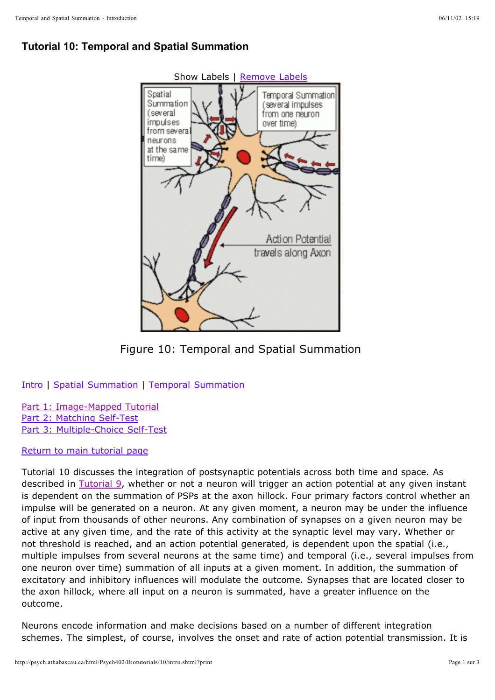## **Tutorial 10: Temporal and Spatial Summation**



Figure 10: Temporal and Spatial Summation

Intro | Spatial Summation | Temporal Summation

Part 1: Image-Mapped Tutorial Part 2: Matching Self-Test Part 3: Multiple-Choice Self-Test

Return to main tutorial page

Tutorial 10 discusses the integration of postsynaptic potentials across both time and space. As described in Tutorial 9, whether or not a neuron will trigger an action potential at any given instant is dependent on the summation of PSPs at the axon hillock. Four primary factors control whether an impulse will be generated on a neuron. At any given moment, a neuron may be under the influence of input from thousands of other neurons. Any combination of synapses on a given neuron may be active at any given time, and the rate of this activity at the synaptic level may vary. Whether or not threshold is reached, and an action potential generated, is dependent upon the spatial (i.e., multiple impulses from several neurons at the same time) and temporal (i.e., several impulses from one neuron over time) summation of all inputs at a given moment. In addition, the summation of excitatory and inhibitory influences will modulate the outcome. Synapses that are located closer to the axon hillock, where all input on a neuron is summated, have a greater influence on the outcome.

Neurons encode information and make decisions based on a number of different integration schemes. The simplest, of course, involves the onset and rate of action potential transmission. It is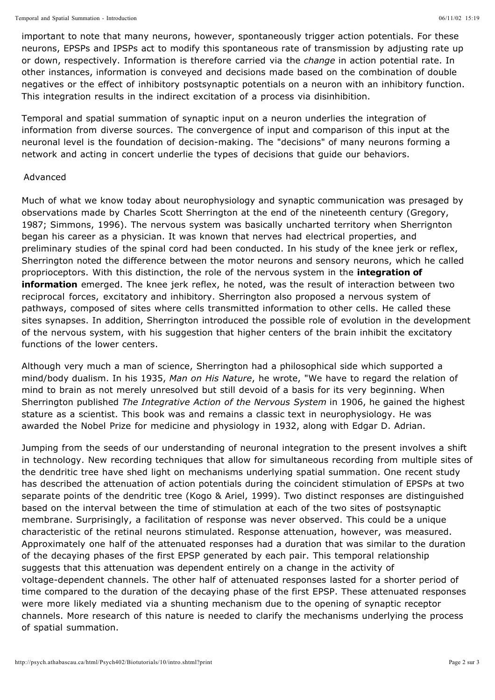important to note that many neurons, however, spontaneously trigger action potentials. For these neurons, EPSPs and IPSPs act to modify this spontaneous rate of transmission by adjusting rate up or down, respectively. Information is therefore carried via the *change* in action potential rate. In other instances, information is conveyed and decisions made based on the combination of double negatives or the effect of inhibitory postsynaptic potentials on a neuron with an inhibitory function. This integration results in the indirect excitation of a process via disinhibition.

Temporal and spatial summation of synaptic input on a neuron underlies the integration of information from diverse sources. The convergence of input and comparison of this input at the neuronal level is the foundation of decision-making. The "decisions" of many neurons forming a network and acting in concert underlie the types of decisions that guide our behaviors.

## Advanced

Much of what we know today about neurophysiology and synaptic communication was presaged by observations made by Charles Scott Sherrington at the end of the nineteenth century (Gregory, 1987; Simmons, 1996). The nervous system was basically uncharted territory when Sherrignton began his career as a physician. It was known that nerves had electrical properties, and preliminary studies of the spinal cord had been conducted. In his study of the knee jerk or reflex, Sherrington noted the difference between the motor neurons and sensory neurons, which he called proprioceptors. With this distinction, the role of the nervous system in the **integration of information** emerged. The knee jerk reflex, he noted, was the result of interaction between two reciprocal forces, excitatory and inhibitory. Sherrington also proposed a nervous system of pathways, composed of sites where cells transmitted information to other cells. He called these sites synapses. In addition, Sherrington introduced the possible role of evolution in the development of the nervous system, with his suggestion that higher centers of the brain inhibit the excitatory functions of the lower centers.

Although very much a man of science, Sherrington had a philosophical side which supported a mind/body dualism. In his 1935, Man on His Nature, he wrote, "We have to regard the relation of mind to brain as not merely unresolved but still devoid of a basis for its very beginning. When Sherrington published *The Integrative Action of the Nervous System* in 1906, he gained the highest stature as a scientist. This book was and remains a classic text in neurophysiology. He was awarded the Nobel Prize for medicine and physiology in 1932, along with Edgar D. Adrian.

Jumping from the seeds of our understanding of neuronal integration to the present involves a shift in technology. New recording techniques that allow for simultaneous recording from multiple sites of the dendritic tree have shed light on mechanisms underlying spatial summation. One recent study has described the attenuation of action potentials during the coincident stimulation of EPSPs at two separate points of the dendritic tree (Kogo & Ariel, 1999). Two distinct responses are distinguished based on the interval between the time of stimulation at each of the two sites of postsynaptic membrane. Surprisingly, a facilitation of response was never observed. This could be a unique characteristic of the retinal neurons stimulated. Response attenuation, however, was measured. Approximately one half of the attenuated responses had a duration that was similar to the duration of the decaying phases of the first EPSP generated by each pair. This temporal relationship suggests that this attenuation was dependent entirely on a change in the activity of voltage-dependent channels. The other half of attenuated responses lasted for a shorter period of time compared to the duration of the decaying phase of the first EPSP. These attenuated responses were more likely mediated via a shunting mechanism due to the opening of synaptic receptor channels. More research of this nature is needed to clarify the mechanisms underlying the process of spatial summation.